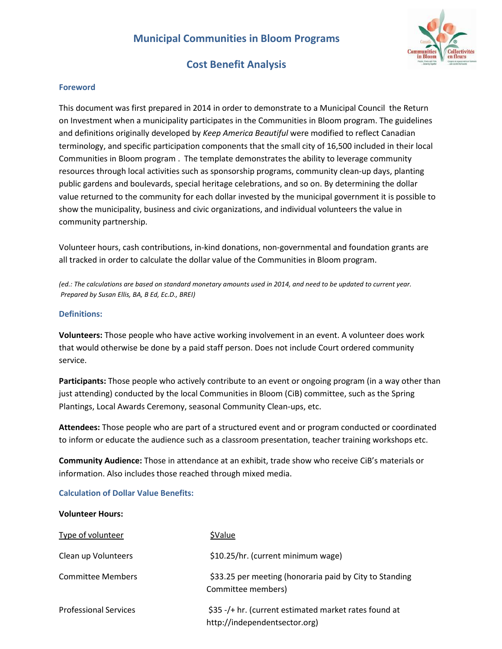

## **Cost Benefit Analysis**

## **Foreword**

This document was first prepared in 2014 in order to demonstrate to a Municipal Council the Return on Investment when a municipality participates in the Communities in Bloom program. The guidelines and definitions originally developed by *Keep America Beautiful* were modified to reflect Canadian terminology, and specific participation components that the small city of 16,500 included in their local Communities in Bloom program . The template demonstrates the ability to leverage community resources through local activities such as sponsorship programs, community clean-up days, planting public gardens and boulevards, special heritage celebrations, and so on. By determining the dollar value returned to the community for each dollar invested by the municipal government it is possible to show the municipality, business and civic organizations, and individual volunteers the value in community partnership.

Volunteer hours, cash contributions, in‐kind donations, non‐governmental and foundation grants are all tracked in order to calculate the dollar value of the Communities in Bloom program.

*(ed.: The calculations are based on standard monetary amounts used in 2014, and need to be updated to current year. Prepared by Susan Ellis, BA, B Ed, Ec.D., BREI)*

## **Definitions:**

**Volunteers:** Those people who have active working involvement in an event. A volunteer does work that would otherwise be done by a paid staff person. Does not include Court ordered community service.

**Participants:** Those people who actively contribute to an event or ongoing program (in a way other than just attending) conducted by the local Communities in Bloom (CiB) committee, such as the Spring Plantings, Local Awards Ceremony, seasonal Community Clean-ups, etc.

**Attendees:** Those people who are part of a structured event and or program conducted or coordinated to inform or educate the audience such as a classroom presentation, teacher training workshops etc.

**Community Audience:** Those in attendance at an exhibit, trade show who receive CiB's materials or information. Also includes those reached through mixed media.

#### **Calculation of Dollar Value Benefits:**

#### **Volunteer Hours:**

| Type of volunteer            | \$Value                                                                                |
|------------------------------|----------------------------------------------------------------------------------------|
| Clean up Volunteers          | \$10.25/hr. (current minimum wage)                                                     |
| Committee Members            | \$33.25 per meeting (honoraria paid by City to Standing<br>Committee members)          |
| <b>Professional Services</b> | \$35 -/+ hr. (current estimated market rates found at<br>http://independentsector.org) |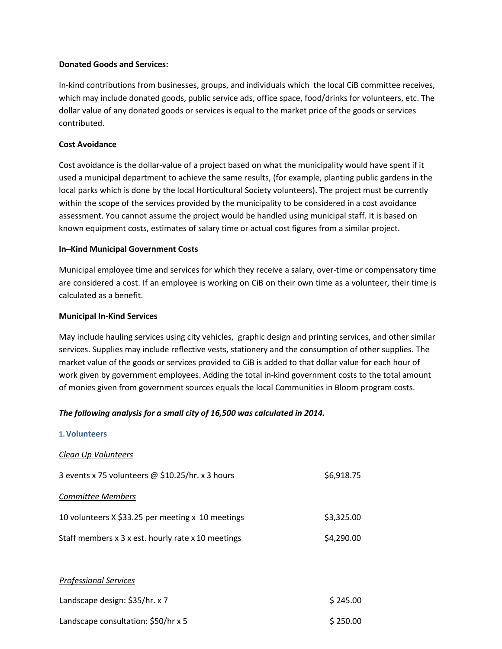## **Donated Goods and Services:**

In‐kind contributions from businesses, groups, and individuals which the local CiB committee receives, which may include donated goods, public service ads, office space, food/drinks for volunteers, etc. The dollar value of any donated goods or services is equal to the market price of the goods or services contributed.

## **Cost Avoidance**

Cost avoidance is the dollar‐value of a project based on what the municipality would have spent if it used a municipal department to achieve the same results, (for example, planting public gardens in the local parks which is done by the local Horticultural Society volunteers). The project must be currently within the scope of the services provided by the municipality to be considered in a cost avoidance assessment. You cannot assume the project would be handled using municipal staff. It is based on known equipment costs, estimates of salary time or actual cost figures from a similar project.

## **In–Kind Municipal Government Costs**

Municipal employee time and services for which they receive a salary, over-time or compensatory time are considered a cost. If an employee is working on CiB on their own time as a volunteer, their time is calculated as a benefit.

## **Municipal In‐Kind Services**

**1.Volunteers**

May include hauling services using city vehicles, graphic design and printing services, and other similar services. Supplies may include reflective vests, stationery and the consumption of other supplies. The market value of the goods or services provided to CiB is added to that dollar value for each hour of work given by government employees. Adding the total in-kind government costs to the total amount of monies given from government sources equals the local Communities in Bloom program costs.

## *The following analysis for a small city of 16,500 was calculated in 2014.*

| 1. VOIUNTEERS                                      |            |
|----------------------------------------------------|------------|
| Clean Up Volunteers                                |            |
| 3 events x 75 volunteers @ \$10.25/hr. x 3 hours   | \$6,918.75 |
| <b>Committee Members</b>                           |            |
| 10 volunteers X \$33.25 per meeting x 10 meetings  | \$3,325.00 |
| Staff members x 3 x est. hourly rate x 10 meetings | \$4,290.00 |
|                                                    |            |
| <b>Professional Services</b>                       |            |
| Landscape design: \$35/hr. x 7                     | \$245.00   |
|                                                    |            |

Landscape consultation:  $$50/hr \times 5$  \$ 250.00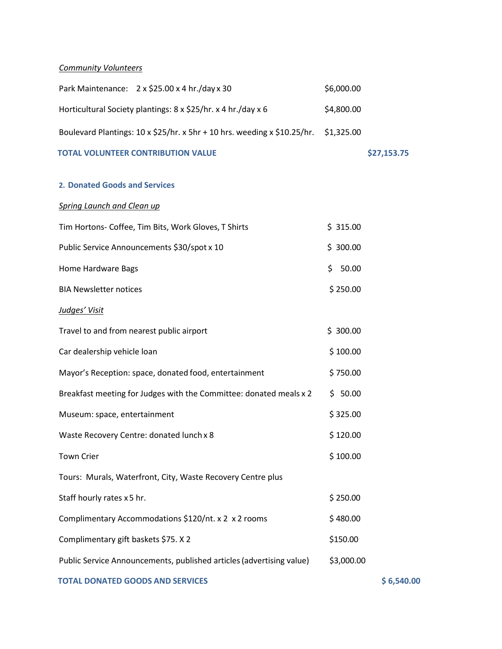## *Community Volunteers*

| Park Maintenance: 2 x \$25.00 x 4 hr./day x 30                           | \$6,000.00  |             |
|--------------------------------------------------------------------------|-------------|-------------|
| Horticultural Society plantings: 8 x \$25/hr. x 4 hr./day x 6            | \$4,800.00  |             |
| Boulevard Plantings: 10 x \$25/hr. x 5hr + 10 hrs. weeding x \$10.25/hr. | \$1,325.00  |             |
| <b>TOTAL VOLUNTEER CONTRIBUTION VALUE</b>                                |             | \$27,153.75 |
| 2. Donated Goods and Services                                            |             |             |
|                                                                          |             |             |
| <b>Spring Launch and Clean up</b>                                        |             |             |
| Tim Hortons- Coffee, Tim Bits, Work Gloves, T Shirts                     | \$315.00    |             |
| Public Service Announcements \$30/spot x 10                              | \$300.00    |             |
| Home Hardware Bags                                                       | 50.00<br>\$ |             |
| <b>BIA Newsletter notices</b>                                            | \$250.00    |             |
| Judges' Visit                                                            |             |             |
| Travel to and from nearest public airport                                | \$300.00    |             |
| Car dealership vehicle loan                                              | \$100.00    |             |
| Mayor's Reception: space, donated food, entertainment                    | \$750.00    |             |
| Breakfast meeting for Judges with the Committee: donated meals x 2       | \$50.00     |             |
| Museum: space, entertainment                                             | \$325.00    |             |
| Waste Recovery Centre: donated lunch x 8                                 | \$120.00    |             |
| <b>Town Crier</b>                                                        | \$100.00    |             |
| Tours: Murals, Waterfront, City, Waste Recovery Centre plus              |             |             |
| Staff hourly rates x 5 hr.                                               | \$250.00    |             |
| Complimentary Accommodations \$120/nt. x 2 x 2 rooms                     | \$480.00    |             |
| Complimentary gift baskets \$75. X 2                                     | \$150.00    |             |
| Public Service Announcements, published articles (advertising value)     | \$3,000.00  |             |
|                                                                          |             |             |

 **TOTAL DONATED GOODS AND SERVICES \$ 6,540.00**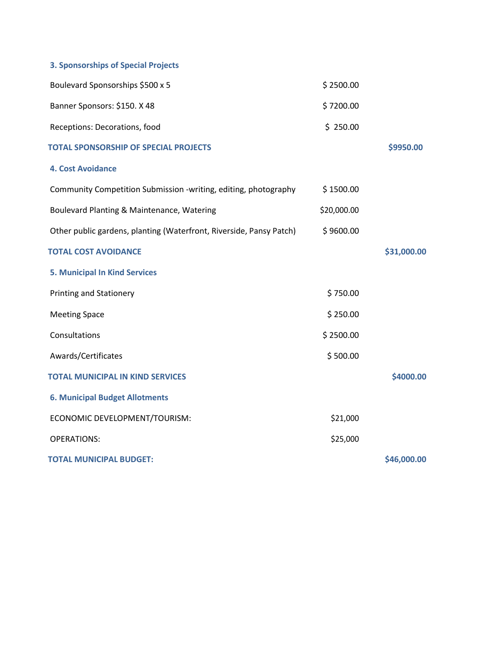# **3. Sponsorships of Special Projects**

| Boulevard Sponsorships \$500 x 5                                    | \$2500.00   |             |
|---------------------------------------------------------------------|-------------|-------------|
| Banner Sponsors: \$150. X 48                                        | \$7200.00   |             |
| Receptions: Decorations, food                                       | \$250.00    |             |
| <b>TOTAL SPONSORSHIP OF SPECIAL PROJECTS</b>                        |             | \$9950.00   |
| <b>4. Cost Avoidance</b>                                            |             |             |
| Community Competition Submission -writing, editing, photography     | \$1500.00   |             |
| Boulevard Planting & Maintenance, Watering                          | \$20,000.00 |             |
| Other public gardens, planting (Waterfront, Riverside, Pansy Patch) | \$9600.00   |             |
| <b>TOTAL COST AVOIDANCE</b>                                         |             | \$31,000.00 |
| <b>5. Municipal In Kind Services</b>                                |             |             |
| <b>Printing and Stationery</b>                                      | \$750.00    |             |
| <b>Meeting Space</b>                                                | \$250.00    |             |
| Consultations                                                       | \$2500.00   |             |
| Awards/Certificates                                                 | \$500.00    |             |
| <b>TOTAL MUNICIPAL IN KIND SERVICES</b>                             |             | \$4000.00   |
| <b>6. Municipal Budget Allotments</b>                               |             |             |
| ECONOMIC DEVELOPMENT/TOURISM:                                       | \$21,000    |             |
| <b>OPERATIONS:</b>                                                  | \$25,000    |             |
| <b>TOTAL MUNICIPAL BUDGET:</b>                                      |             | \$46,000.00 |